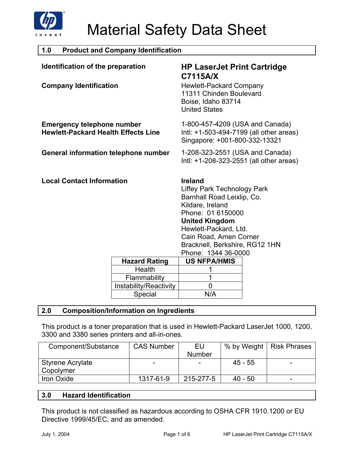

г

| <b>Product and Company Identification</b><br>1.0                                |                                   |                                                                                                                                                                                                                                                                  |  |
|---------------------------------------------------------------------------------|-----------------------------------|------------------------------------------------------------------------------------------------------------------------------------------------------------------------------------------------------------------------------------------------------------------|--|
| Identification of the preparation                                               |                                   | <b>HP LaserJet Print Cartridge</b><br>C7115A/X                                                                                                                                                                                                                   |  |
| <b>Company Identification</b>                                                   |                                   | <b>Hewlett-Packard Company</b><br>11311 Chinden Boulevard<br>Boise, Idaho 83714<br><b>United States</b>                                                                                                                                                          |  |
| <b>Emergency telephone number</b><br><b>Hewlett-Packard Health Effects Line</b> |                                   | 1-800-457-4209 (USA and Canada)<br>Intl: +1-503-494-7199 (all other areas)<br>Singapore: +001-800-332-13321                                                                                                                                                      |  |
| <b>General information telephone number</b>                                     |                                   | 1-208-323-2551 (USA and Canada)<br>Intl: +1-208-323-2551 (all other areas)                                                                                                                                                                                       |  |
| <b>Local Contact Information</b>                                                |                                   | <b>Ireland</b><br><b>Liffey Park Technology Park</b><br>Barnhall Road Leixlip, Co.<br>Kildare, Ireland<br>Phone: 01 6150000<br><b>United Kingdom</b><br>Hewlett-Packard, Ltd.<br>Cain Road, Amen Corner<br>Bracknell, Berkshire, RG12 1HN<br>Phone: 1344 36-0000 |  |
|                                                                                 |                                   |                                                                                                                                                                                                                                                                  |  |
|                                                                                 | <b>Hazard Rating</b>              | <b>US NFPA/HMIS</b>                                                                                                                                                                                                                                              |  |
|                                                                                 | Health                            |                                                                                                                                                                                                                                                                  |  |
|                                                                                 | Flammability                      | 1                                                                                                                                                                                                                                                                |  |
|                                                                                 | Instability/Reactivity<br>Special | $\mathbf 0$<br>N/A                                                                                                                                                                                                                                               |  |

### **2.0 Composition/Information on Ingredients**

This product is a toner preparation that is used in Hewlett-Packard LaserJet 1000, 1200, 3300 and 3380 series printers and all-in-ones.

| Component/Substance | <b>CAS Number</b> | EU            |           | % by Weight   Risk Phrases |
|---------------------|-------------------|---------------|-----------|----------------------------|
|                     |                   | <b>Number</b> |           |                            |
| Styrene Acrylate    |                   | -             | $45 - 55$ |                            |
| Copolymer           |                   |               |           |                            |
| Iron Oxide          | 1317-61-9         | 215-277-5     | $40 - 50$ | -                          |

### **3.0 Hazard Identification**

This product is not classified as hazardous according to OSHA CFR 1910.1200 or EU Directive 1999/45/EC, and as amended.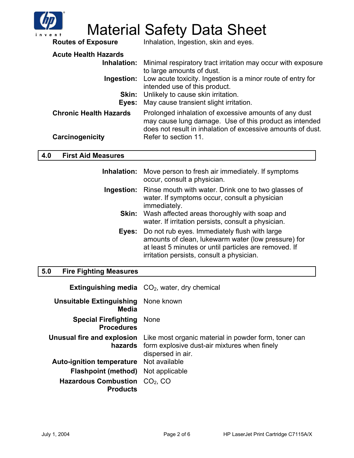

# **Material Safety Data Sheet**<br>Routes of Exposure Inhalation, Ingestion, skin and eyes.

Inhalation, Ingestion, skin and eyes.

| <b>Acute Health Hazards</b><br>Eyes:             | Inhalation: Minimal respiratory tract irritation may occur with exposure<br>to large amounts of dust.<br><b>Ingestion:</b> Low acute toxicity. Ingestion is a minor route of entry for<br>intended use of this product.<br><b>Skin:</b> Unlikely to cause skin irritation.<br>May cause transient slight irritation. |
|--------------------------------------------------|----------------------------------------------------------------------------------------------------------------------------------------------------------------------------------------------------------------------------------------------------------------------------------------------------------------------|
| <b>Chronic Health Hazards</b><br>Carcinogenicity | Prolonged inhalation of excessive amounts of any dust<br>may cause lung damage. Use of this product as intended<br>does not result in inhalation of excessive amounts of dust.<br>Refer to section 11.                                                                                                               |

### **4.0 First Aid Measures**

|            | Inhalation: Move person to fresh air immediately. If symptoms<br>occur, consult a physician.                                                                                                                     |
|------------|------------------------------------------------------------------------------------------------------------------------------------------------------------------------------------------------------------------|
| Ingestion: | Rinse mouth with water. Drink one to two glasses of<br>water. If symptoms occur, consult a physician<br>immediately.                                                                                             |
|            | <b>Skin:</b> Wash affected areas thoroughly with soap and<br>water. If irritation persists, consult a physician.                                                                                                 |
|            | Eyes: Do not rub eyes. Immediately flush with large<br>amounts of clean, lukewarm water (low pressure) for<br>at least 5 minutes or until particles are removed. If<br>irritation persists, consult a physician. |

### **5.0 Fire Fighting Measures**

|                                                       | <b>Extinguishing media</b> $CO2$ , water, dry chemical                                                                                                              |
|-------------------------------------------------------|---------------------------------------------------------------------------------------------------------------------------------------------------------------------|
| <b>Unsuitable Extinguishing</b> None known<br>Media   |                                                                                                                                                                     |
| <b>Special Firefighting None</b><br><b>Procedures</b> |                                                                                                                                                                     |
|                                                       | <b>Unusual fire and explosion</b> Like most organic material in powder form, toner can<br>hazards form explosive dust-air mixtures when finely<br>dispersed in air. |
| <b>Auto-ignition temperature</b> Not available        |                                                                                                                                                                     |
| <b>Flashpoint (method)</b> Not applicable             |                                                                                                                                                                     |
| Hazardous Combustion $CO2$ , CO<br><b>Products</b>    |                                                                                                                                                                     |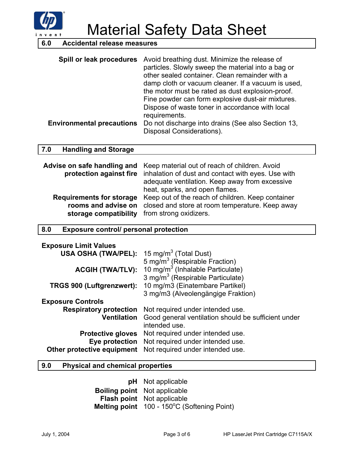

Material Safety Data Sheet

### **6.0 Accidental release measures**

| Spill or leak procedures         | Avoid breathing dust. Minimize the release of<br>particles. Slowly sweep the material into a bag or<br>other sealed container. Clean remainder with a<br>damp cloth or vacuum cleaner. If a vacuum is used,<br>the motor must be rated as dust explosion-proof.<br>Fine powder can form explosive dust-air mixtures.<br>Dispose of waste toner in accordance with local |
|----------------------------------|-------------------------------------------------------------------------------------------------------------------------------------------------------------------------------------------------------------------------------------------------------------------------------------------------------------------------------------------------------------------------|
|                                  | requirements.                                                                                                                                                                                                                                                                                                                                                           |
| <b>Environmental precautions</b> | Do not discharge into drains (See also Section 13,<br>Disposal Considerations).                                                                                                                                                                                                                                                                                         |

#### **7.0 Handling and Storage**

|                                              | <b>Advise on safe handling and</b> Keep material out of reach of children. Avoid<br>protection against fire inhalation of dust and contact with eyes. Use with<br>adequate ventilation. Keep away from excessive |
|----------------------------------------------|------------------------------------------------------------------------------------------------------------------------------------------------------------------------------------------------------------------|
| storage compatibility from strong oxidizers. | heat, sparks, and open flames.<br>Requirements for storage Keep out of the reach of children. Keep container<br>rooms and advise on closed and store at room temperature. Keep away                              |

### **8.0 Exposure control/ personal protection**

| <b>Exposure Limit Values</b>     |                                                     |
|----------------------------------|-----------------------------------------------------|
| <b>USA OSHA (TWA/PEL):</b>       | 15 mg/m <sup>3</sup> (Total Dust)                   |
|                                  | 5 mg/m <sup>3</sup> (Respirable Fraction)           |
| <b>ACGIH (TWA/TLV):</b>          | 10 $mg/m3$ (Inhalable Particulate)                  |
|                                  | 3 mg/m <sup>3</sup> (Respirable Particulate)        |
| <b>TRGS 900 (Luftgrenzwert):</b> | 10 mg/m3 (Einatembare Partikel)                     |
|                                  | 3 mg/m3 (Alveolengängige Fraktion)                  |
| <b>Exposure Controls</b>         |                                                     |
| <b>Respiratory protection</b>    | Not required under intended use.                    |
| <b>Ventilation</b>               | Good general ventilation should be sufficient under |
|                                  | intended use.                                       |
| <b>Protective gloves</b>         | Not required under intended use.                    |
|                                  | Eye protection Not required under intended use.     |
| Other protective equipment       | Not required under intended use.                    |

#### **9.0 Physical and chemical properties**

**pH** Not applicable **Boiling point** Not applicable **Flash point** Not applicable Melting point 100 - 150°C (Softening Point)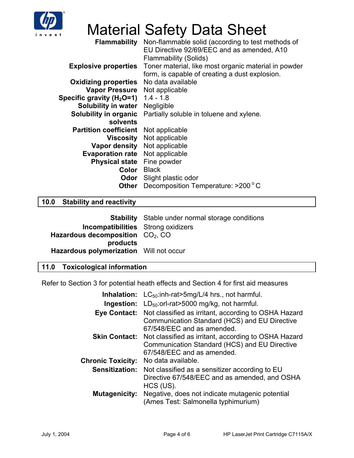

# Material Safety Data Sheet

|                               | <b>Flammability</b> Non-flammable solid (according to test methods of<br>EU Directive 92/69/EEC and as amended, A10<br><b>Flammability (Solids)</b> |
|-------------------------------|-----------------------------------------------------------------------------------------------------------------------------------------------------|
| <b>Explosive properties</b>   | Toner material, like most organic material in powder<br>form, is capable of creating a dust explosion.                                              |
| <b>Oxidizing properties</b>   | No data available                                                                                                                                   |
| Vapor Pressure Not applicable |                                                                                                                                                     |
| Specific gravity $(H2O=1)$    | $1.4 - 1.8$                                                                                                                                         |
| Solubility in water           | Negligible                                                                                                                                          |
| Solubility in organic         | Partially soluble in toluene and xylene.                                                                                                            |
| solvents                      |                                                                                                                                                     |
| <b>Partition coefficient</b>  | Not applicable                                                                                                                                      |
| Viscosity                     | Not applicable                                                                                                                                      |
| Vapor density Not applicable  |                                                                                                                                                     |
| <b>Evaporation rate</b>       | Not applicable                                                                                                                                      |
| <b>Physical state</b>         | Fine powder                                                                                                                                         |
| Color                         | <b>Black</b>                                                                                                                                        |
| Odor                          | Slight plastic odor                                                                                                                                 |
| Other                         | Decomposition Temperature: >200 °C                                                                                                                  |

## **10.0 Stability and reactivity**

| <b>Stability</b> Stable under normal storage conditions |
|---------------------------------------------------------|
| <b>Incompatibilities</b> Strong oxidizers               |
| Hazardous decomposition $CO2, CO$                       |
|                                                         |
| Hazardous polymerization Will not occur                 |
|                                                         |

### **11.0 Toxicological information**

Refer to Section 3 for potential heath effects and Section 4 for first aid measures

| Inhalation:              | $LC_{50}$ : inh-rat > 5 mg/L/4 hrs., not harmful.                                                                                   |
|--------------------------|-------------------------------------------------------------------------------------------------------------------------------------|
| Ingestion:               | $LD_{50}$ : orl-rat > 5000 mg/kg, not harmful.                                                                                      |
| <b>Eye Contact:</b>      | Not classified as irritant, according to OSHA Hazard<br>Communication Standard (HCS) and EU Directive<br>67/548/EEC and as amended. |
| <b>Skin Contact:</b>     | Not classified as irritant, according to OSHA Hazard<br>Communication Standard (HCS) and EU Directive<br>67/548/EEC and as amended. |
| <b>Chronic Toxicity:</b> | No data available.                                                                                                                  |
| Sensitization:           | Not classified as a sensitizer according to EU<br>Directive 67/548/EEC and as amended, and OSHA<br>$HCS$ (US).                      |
| Mutagenicity:            | Negative, does not indicate mutagenic potential<br>(Ames Test: Salmonella typhimurium)                                              |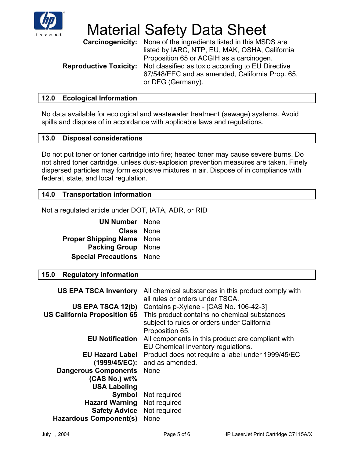

# Material Safety Data Sheet

**Carcinogenicity:** None of the ingredients listed in this MSDS are listed by IARC, NTP, EU, MAK, OSHA, California Proposition 65 or ACGIH as a carcinogen. **Reproductive Toxicity:** Not classified as toxic according to EU Directive 67/548/EEC and as amended, California Prop. 65, or DFG (Germany).

### **12.0 Ecological Information**

No data available for ecological and wastewater treatment (sewage) systems. Avoid spills and dispose of in accordance with applicable laws and regulations.

### **13.0 Disposal considerations**

Do not put toner or toner cartridge into fire; heated toner may cause severe burns. Do not shred toner cartridge, unless dust-explosion prevention measures are taken. Finely dispersed particles may form explosive mixtures in air. Dispose of in compliance with federal, state, and local regulation.

### **14.0 Transportation information**

Not a regulated article under DOT, IATA, ADR, or RID

| <b>UN Number</b>            | <b>None</b> |
|-----------------------------|-------------|
| Class                       | <b>None</b> |
| <b>Proper Shipping Name</b> | <b>None</b> |
| <b>Packing Group</b>        | <b>None</b> |
| <b>Special Precautions</b>  | <b>None</b> |

### **15.0 Regulatory information**

| <b>US EPA TSCA Inventory</b>        | All chemical substances in this product comply with<br>all rules or orders under TSCA.                         |
|-------------------------------------|----------------------------------------------------------------------------------------------------------------|
| <b>US EPA TSCA 12(b)</b>            | Contains p-Xylene - [CAS No. 106-42-3]                                                                         |
| <b>US California Proposition 65</b> | This product contains no chemical substances<br>subject to rules or orders under California<br>Proposition 65. |
| <b>EU Notification</b>              | All components in this product are compliant with<br>EU Chemical Inventory regulations.                        |
| <b>EU Hazard Label</b>              | Product does not require a label under 1999/45/EC                                                              |
| (1999/45/EC):                       | and as amended.                                                                                                |
| <b>Dangerous Components</b>         | <b>None</b>                                                                                                    |
| $(CAS No.) wt\%$                    |                                                                                                                |
| <b>USA Labeling</b>                 |                                                                                                                |
| Symbol                              | Not required                                                                                                   |
| <b>Hazard Warning</b>               | Not required                                                                                                   |
| <b>Safety Advice</b>                | Not required                                                                                                   |
| <b>Hazardous Component(s)</b>       | <b>None</b>                                                                                                    |